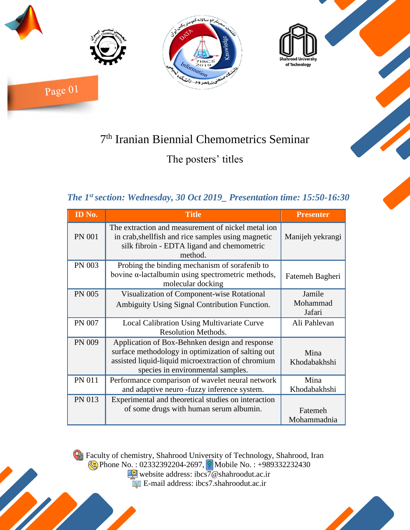

# 7 th Iranian Biennial Chemometrics Seminar

The posters' titles

### *The 1st section: Wednesday, 30 Oct 2019\_ Presentation time: 15:50-16:30*

| ID No.        | <b>Title</b>                                                                                                                                                                                    | <b>Presenter</b>             |
|---------------|-------------------------------------------------------------------------------------------------------------------------------------------------------------------------------------------------|------------------------------|
| <b>PN 001</b> | The extraction and measurement of nickel metal ion<br>in crab, shell fish and rice samples using magnetic<br>silk fibroin - EDTA ligand and chemometric<br>method.                              | Manijeh yekrangi             |
| <b>PN 003</b> | Probing the binding mechanism of sorafenib to<br>bovine $\alpha$ -lactalbumin using spectrometric methods,<br>molecular docking                                                                 | Fatemeh Bagheri              |
| <b>PN 005</b> | Visualization of Component-wise Rotational<br>Ambiguity Using Signal Contribution Function.                                                                                                     | Jamile<br>Mohammad<br>Jafari |
| PN 007        | Local Calibration Using Multivariate Curve<br><b>Resolution Methods.</b>                                                                                                                        | Ali Pahlevan                 |
| <b>PN 009</b> | Application of Box-Behnken design and response<br>surface methodology in optimization of salting out<br>assisted liquid-liquid microextraction of chromium<br>species in environmental samples. | Mina<br>Khodabakhshi         |
| PN 011        | Performance comparison of wavelet neural network<br>and adaptive neuro -fuzzy inference system.                                                                                                 | Mina<br>Khodabakhshi         |
| <b>PN 013</b> | Experimental and theoretical studies on interaction<br>of some drugs with human serum albumin.                                                                                                  | Fatemeh<br>Mohammadnia       |

Faculty of chemistry, Shahrood University of Technology, Shahrood, Iran Phone No.: 02332392204-2697, Mobile No.: +989332232430

website address: ibcs7@shahroodut.ac.ir E-mail address: ibcs7.shahroodut.ac.ir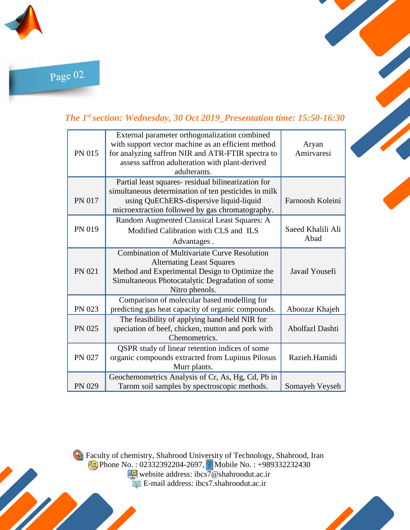

Page 02

#### *The 1st section: Wednesday, 30 Oct 2019\_Presentation time: 15:50-16:30*

| PN 015        | External parameter orthogonalization combined<br>with support vector machine as an efficient method<br>for analyzing saffron NIR and ATR-FTIR spectra to<br>assess saffron adulteration with plant-derived<br>adulterants. | Aryan<br>Amirvaresi       |
|---------------|----------------------------------------------------------------------------------------------------------------------------------------------------------------------------------------------------------------------------|---------------------------|
| <b>PN 017</b> | Partial least squares- residual bilinearization for<br>simultaneous determination of ten pesticides in milk<br>using QuEChERS-dispersive liquid-liquid<br>microextraction followed by gas chromatography.                  | Farnoosh Koleini          |
| PN 019        | Random Augmented Classical Least Squares: A<br>Modified Calibration with CLS and ILS<br>Advantages.                                                                                                                        | Saeed Khalili Ali<br>Abad |
| PN 021        | <b>Combination of Multivariate Curve Resolution</b><br><b>Alternating Least Squares</b><br>Method and Experimental Design to Optimize the<br>Simultaneous Photocatalytic Degradation of some<br>Nitro phenols.             | Javad Yousefi             |
| PN 023        | Comparison of molecular based modelling for<br>predicting gas heat capacity of organic compounds.                                                                                                                          | Aboozar Khajeh            |
| PN 025        | The feasibility of applying hand-held NIR for<br>speciation of beef, chicken, mutton and pork with<br>Chemometrics.                                                                                                        | <b>Abolfazl Dashti</b>    |
| PN 027        | QSPR study of linear retention indices of some<br>organic compounds extracted from Lupinus Pilosus<br>Murr plants.                                                                                                         | Razieh.Hamidi             |
| PN 029        | Geochemometrics Analysis of Cr, As, Hg, Cd, Pb in<br>Tarom soil samples by spectroscopic methods.                                                                                                                          | Somayeh Veyseh            |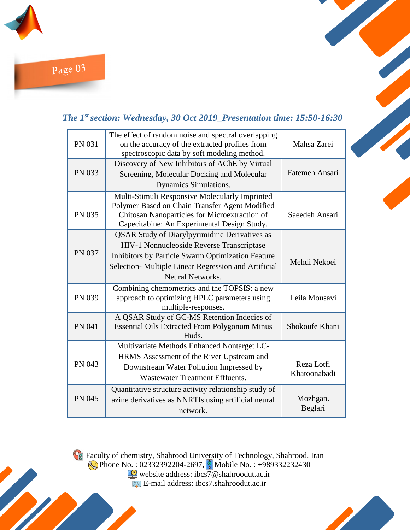

Page 03

#### *The 1st section: Wednesday, 30 Oct 2019\_Presentation time: 15:50-16:30*

| <b>PN 031</b> | The effect of random noise and spectral overlapping<br>on the accuracy of the extracted profiles from<br>spectroscopic data by soft modeling method. | Mahsa Zarei         |
|---------------|------------------------------------------------------------------------------------------------------------------------------------------------------|---------------------|
| PN 033        | Discovery of New Inhibitors of AChE by Virtual<br>Screening, Molecular Docking and Molecular                                                         | Fatemeh Ansari      |
|               | Dynamics Simulations.                                                                                                                                |                     |
| PN 035        | Multi-Stimuli Responsive Molecularly Imprinted<br>Polymer Based on Chain Transfer Agent Modified<br>Chitosan Nanoparticles for Microextraction of    | Saeedeh Ansari      |
|               | Capecitabine: An Experimental Design Study.<br><b>QSAR Study of Diarylpyrimidine Derivatives as</b>                                                  |                     |
|               | HIV-1 Nonnucleoside Reverse Transcriptase                                                                                                            |                     |
| <b>PN 037</b> | Inhibitors by Particle Swarm Optimization Feature<br>Selection-Multiple Linear Regression and Artificial<br>Neural Networks.                         | Mehdi Nekoei        |
| PN 039        | Combining chemometrics and the TOPSIS: a new<br>approach to optimizing HPLC parameters using<br>multiple-responses.                                  | Leila Mousavi       |
| <b>PN 041</b> | A QSAR Study of GC-MS Retention Indecies of<br><b>Essential Oils Extracted From Polygonum Minus</b><br>Huds.                                         | Shokoufe Khani      |
|               | Multivariate Methods Enhanced Nontarget LC-                                                                                                          |                     |
| PN 043        | HRMS Assessment of the River Upstream and                                                                                                            | Reza Lotfi          |
|               | Downstream Water Pollution Impressed by<br><b>Wastewater Treatment Effluents.</b>                                                                    | Khatoonabadi        |
|               | Quantitative structure activity relationship study of                                                                                                |                     |
| <b>PN 045</b> | azine derivatives as NNRTIs using artificial neural<br>network.                                                                                      | Mozhgan.<br>Beglari |

Faculty of chemistry, Shahrood University of Technology, Shahrood, Iran Phone No.: 02332392204-2697, **Mobile No.: +989332232430** 

website address: ibcs7@shahroodut.ac.ir E-mail address: ibcs7.shahroodut.ac.ir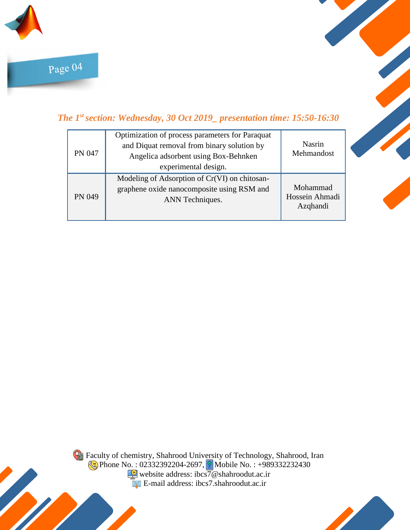

#### *The 1st section: Wednesday, 30 Oct 2019\_ presentation time: 15:50-16:30*

| <b>PN 047</b> | Optimization of process parameters for Paraquat<br>and Diquat removal from binary solution by<br>Angelica adsorbent using Box-Behnken<br>experimental design. | Nasrin<br>Mehmandost                   |
|---------------|---------------------------------------------------------------------------------------------------------------------------------------------------------------|----------------------------------------|
| PN 049        | Modeling of Adsorption of Cr(VI) on chitosan-<br>graphene oxide nanocomposite using RSM and<br>ANN Techniques.                                                | Mohammad<br>Hossein Ahmadi<br>Azqhandi |



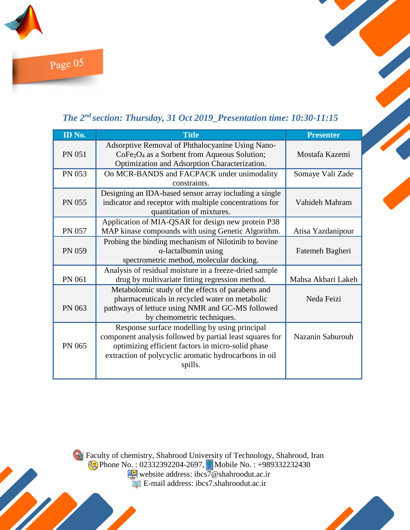

## *The 2nd section: Thursday, 31 Oct 2019\_Presentation time: 10:30-11:15*

| ID No.        | <b>Title</b>                                                                                                                                                                                                                       | <b>Presenter</b>   |
|---------------|------------------------------------------------------------------------------------------------------------------------------------------------------------------------------------------------------------------------------------|--------------------|
| <b>PN 051</b> | Adsorptive Removal of Phthalocyanine Using Nano-<br>CoFe <sub>2</sub> O <sub>4</sub> as a Sorbent from Aqueous Solution;<br>Optimization and Adsorption Characterization.                                                          | Mostafa Kazemi     |
| <b>PN 053</b> | On MCR-BANDS and FACPACK under unimodality<br>constraints.                                                                                                                                                                         | Somaye Vali Zade   |
| <b>PN 055</b> | Designing an IDA-based sensor array including a single<br>indicator and receptor with multiple concentrations for<br>quantitation of mixtures.                                                                                     | Vahideh Mahram     |
| <b>PN 057</b> | Application of MIA-QSAR for design new protein P38<br>MAP kinase compounds with using Genetic Algorithm.                                                                                                                           | Atisa Yazdanipour  |
| <b>PN 059</b> | Probing the binding mechanism of Nilotinib to bovine<br>$\alpha$ -lactalbumin using<br>spectrometric method, molecular docking.                                                                                                    | Fatemeh Bagheri    |
| PN 061        | Analysis of residual moisture in a freeze-dried sample<br>drug by multivariate fitting regression method.                                                                                                                          | Mahsa Akbari Lakeh |
| PN 063        | Metabolomic study of the effects of parabens and<br>pharmaceuticals in recycled water on metabolic<br>pathways of lettuce using NMR and GC-MS followed<br>by chemometric techniques.                                               | Neda Feizi         |
| PN 065        | Response surface modelling by using principal<br>component analysis followed by partial least squares for<br>optimizing efficient factors in micro-solid phase<br>extraction of polycyclic aromatic hydrocarbons in oil<br>spills. | Nazanin Saburouh   |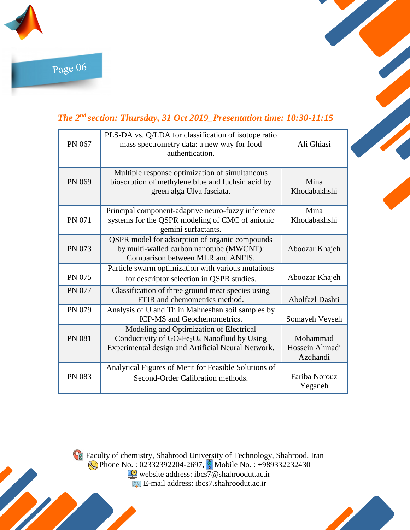



| PN 067        | PLS-DA vs. Q/LDA for classification of isotope ratio<br>mass spectrometry data: a new way for food<br>authentication.                                                 | Ali Ghiasi                             |
|---------------|-----------------------------------------------------------------------------------------------------------------------------------------------------------------------|----------------------------------------|
| PN 069        | Multiple response optimization of simultaneous<br>biosorption of methylene blue and fuchsin acid by<br>green alga Ulva fasciata.                                      | Mina<br>Khodabakhshi                   |
| <b>PN 071</b> | Principal component-adaptive neuro-fuzzy inference<br>systems for the QSPR modeling of CMC of anionic<br>gemini surfactants.                                          | Mina<br>Khodabakhshi                   |
| PN 073        | QSPR model for adsorption of organic compounds<br>by multi-walled carbon nanotube (MWCNT):<br>Comparison between MLR and ANFIS.                                       | Aboozar Khajeh                         |
| <b>PN 075</b> | Particle swarm optimization with various mutations<br>for descriptor selection in QSPR studies.                                                                       | Aboozar Khajeh                         |
| <b>PN 077</b> | Classification of three ground meat species using<br>FTIR and chemometrics method.                                                                                    | Abolfazl Dashti                        |
| PN 079        | Analysis of U and Th in Mahneshan soil samples by<br><b>ICP-MS</b> and Geochemometrics.                                                                               | Somayeh Veyseh                         |
| <b>PN 081</b> | Modeling and Optimization of Electrical<br>Conductivity of GO-Fe <sub>3</sub> O <sub>4</sub> Nanofluid by Using<br>Experimental design and Artificial Neural Network. | Mohammad<br>Hossein Ahmadi<br>Azqhandi |
| <b>PN 083</b> | Analytical Figures of Merit for Feasible Solutions of<br>Second-Order Calibration methods.                                                                            | Fariba Norouz<br>Yeganeh               |